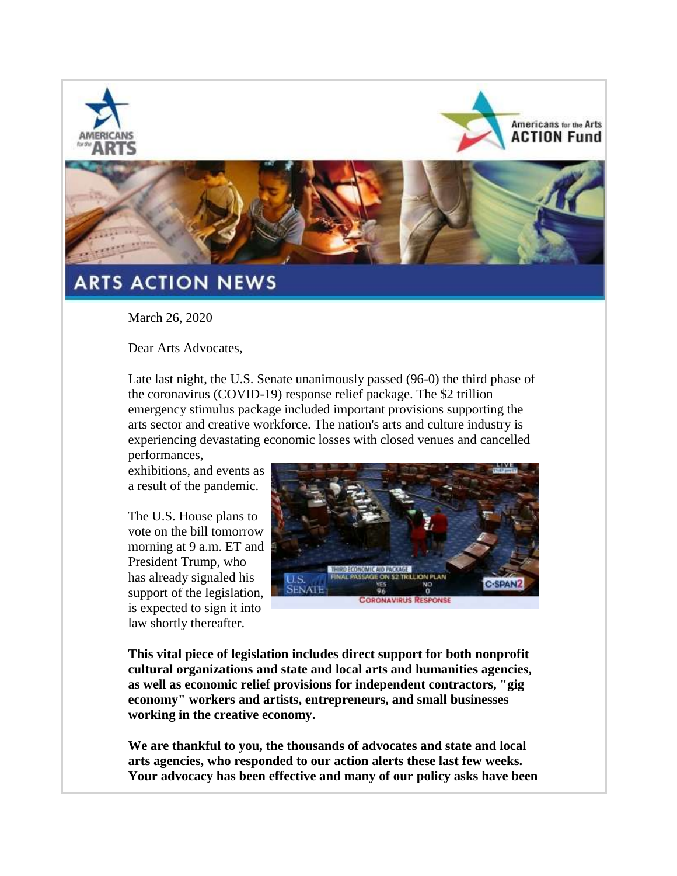





## **ARTS ACTION NEWS**

March 26, 2020

Dear Arts Advocates,

Late last night, the U.S. Senate unanimously passed (96-0) the third phase of the coronavirus (COVID-19) response relief package. The \$2 trillion emergency stimulus package included important provisions supporting the arts sector and creative workforce. The nation's arts and culture industry is experiencing devastating economic losses with closed venues and cancelled

performances, exhibitions, and events as a result of the pandemic.

The U.S. House plans to vote on the bill tomorrow morning at 9 a.m. ET and President Trump, who has already signaled his support of the legislation, is expected to sign it into law shortly thereafter.



**This vital piece of legislation includes direct support for both nonprofit cultural organizations and state and local arts and humanities agencies, as well as economic relief provisions for independent contractors, "gig economy" workers and artists, entrepreneurs, and small businesses working in the creative economy.**

**We are thankful to you, the thousands of advocates and state and local arts agencies, who responded to our action alerts these last few weeks. Your advocacy has been effective and many of our policy asks have been**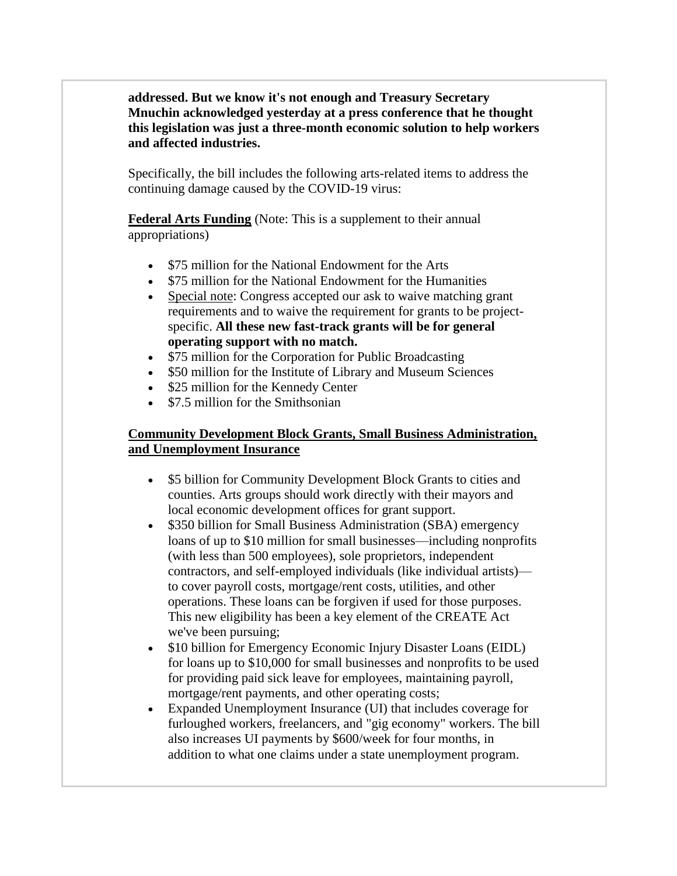**addressed. But we know it's not enough and Treasury Secretary Mnuchin acknowledged yesterday at a press conference that he thought this legislation was just a three-month economic solution to help workers and affected industries.**

Specifically, the bill includes the following arts-related items to address the continuing damage caused by the COVID-19 virus:

**Federal Arts Funding** (Note: This is a supplement to their annual appropriations)

- \$75 million for the National Endowment for the Arts
- \$75 million for the National Endowment for the Humanities
- Special note: Congress accepted our ask to waive matching grant requirements and to waive the requirement for grants to be projectspecific. **All these new fast-track grants will be for general operating support with no match.**
- \$75 million for the Corporation for Public Broadcasting
- \$50 million for the Institute of Library and Museum Sciences
- \$25 million for the Kennedy Center
- \$7.5 million for the Smithsonian

## **Community Development Block Grants, Small Business Administration, and Unemployment Insurance**

- \$5 billion for Community Development Block Grants to cities and counties. Arts groups should work directly with their mayors and local economic development offices for grant support.
- \$350 billion for Small Business Administration (SBA) emergency loans of up to \$10 million for small businesses—including nonprofits (with less than 500 employees), sole proprietors, independent contractors, and self-employed individuals (like individual artists) to cover payroll costs, mortgage/rent costs, utilities, and other operations. These loans can be forgiven if used for those purposes. This new eligibility has been a key element of the CREATE Act we've been pursuing;
- \$10 billion for Emergency Economic Injury Disaster Loans (EIDL) for loans up to \$10,000 for small businesses and nonprofits to be used for providing paid sick leave for employees, maintaining payroll, mortgage/rent payments, and other operating costs;
- Expanded Unemployment Insurance (UI) that includes coverage for furloughed workers, freelancers, and "gig economy" workers. The bill also increases UI payments by \$600/week for four months, in addition to what one claims under a state unemployment program.